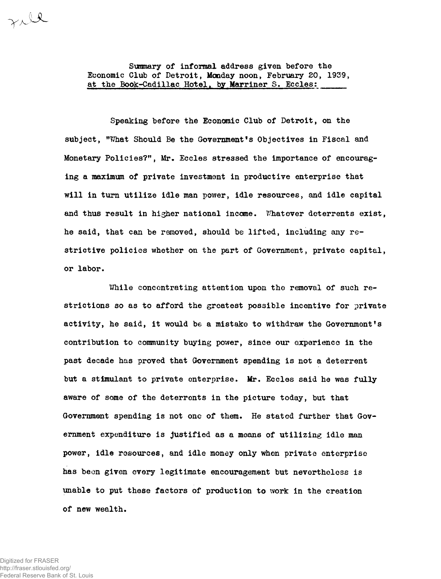**Summary of informal address given before the Economic Club of Detroit, Monday noon, February 20, 1939,** at the Book-Cadillac Hotel, by Marriner S. Eccles:

**Speaking before the Economic Club of Detroit, on the subject, "What Should Be the Government's Objectives in Fiscal and Monetary Policies?", Mr. Eccles stressed the importance of encouraging a maximum of private investment in productive enterprise that will in turn utilize idle man power, idle resources, and idle capital and thus result in higher national income. Whatever deterrents exist, he said, that can be removed, should be lifted, including any restrictive policies whether on the part of Government, private capital, or labor.**

**While concentrating attention upon the removal of such restrictions so as to afford the greatest possible incentive for private activity, he said, it would be a mistake to withdraw the Government's contribution to community buying power, since our experience in the past decade has proved that Government spending is not a deterrent but a stimulant to private enterprise. Mr. Eccles said he was fully aware of some of the deterrents in the picture today, but that Government spending is not one of them. He stated further that Government expenditure is justified as a means of utilizing idle power, idle resources, and idle money only when private enterprise has been given every legitimate encouragement but nevertheless is unable to put these factors of production to work in the creation of new wealth.**

Till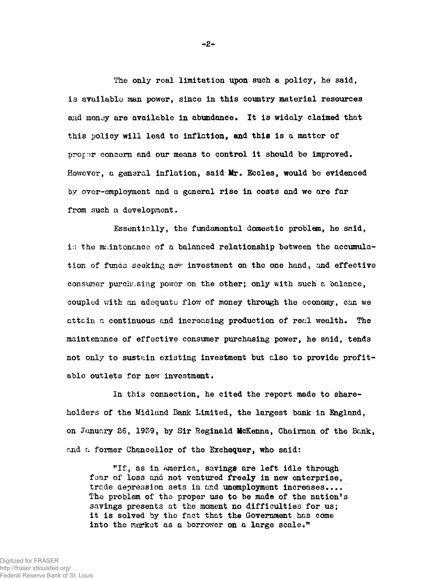**The only real limitation upon such a policy, he said, is available man power, since in this country material resources and monuy are available in abundance. It is widely claimed that this policy will lead to inflation, and this is a matter of proper concern and our means to control it should be improved. However, a general inflation, said Ifr. Eccles, would be evidenced by over-employment and a general rise in costs and we are far from such a development.**

**Essentially, the fundamental domestic problem, he said, is the maintenance of a balanced relationship between the accumulation of funds seeking nev investment on the one hand, and effective consumer purchasing power on the other; only with such a balance, coupled with an adequate flow of money through the economy, can we attain a continuous and increasing production of real wealth. The maintenance of effective consumer purchasing power, he said, tends not only to sustain existing investment but also to provide profitable outlets for new investment.**

**In this connection, he cited the report made to shareholders of the Midland Bank Limited, the largest bank in Ihgland, on January 26, 1939, by Sir Reginald McKenna, Chairman of the Bank, and** a **former Chancellor of the Exchequer, who said:**

"If, as in America, savings are left idle through **foar of loss and not ventured freely in new enterprise, trade depression sets in end unemployment increases.... The problem of the proper use to be made of the nation's savings presents at the moment no difficulties for us; it is solved by the fact that the Government has come into the market as a borrower on a large scale."**

 $-2-$